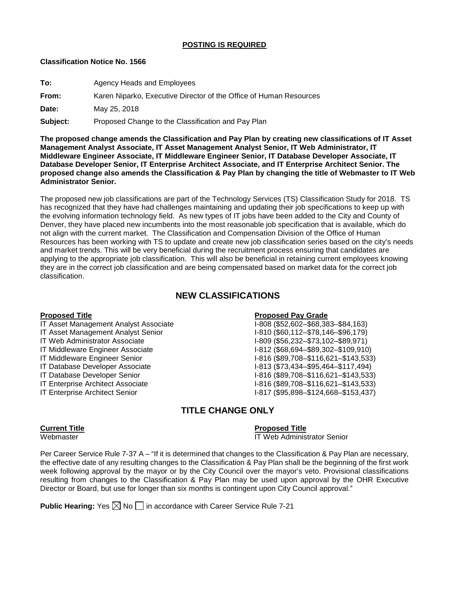# **POSTING IS REQUIRED**

# **Classification Notice No. 1566**

**To:** Agency Heads and Employees

**From:** Karen Niparko, Executive Director of the Office of Human Resources

**Date:** May 25, 2018

**Subject:** Proposed Change to the Classification and Pay Plan

**The proposed change amends the Classification and Pay Plan by creating new classifications of IT Asset Management Analyst Associate, IT Asset Management Analyst Senior, IT Web Administrator, IT Middleware Engineer Associate, IT Middleware Engineer Senior, IT Database Developer Associate, IT Database Developer Senior, IT Enterprise Architect Associate, and IT Enterprise Architect Senior. The proposed change also amends the Classification & Pay Plan by changing the title of Webmaster to IT Web Administrator Senior.**

The proposed new job classifications are part of the Technology Services (TS) Classification Study for 2018. TS has recognized that they have had challenges maintaining and updating their job specifications to keep up with the evolving information technology field. As new types of IT jobs have been added to the City and County of Denver, they have placed new incumbents into the most reasonable job specification that is available, which do not align with the current market. The Classification and Compensation Division of the Office of Human Resources has been working with TS to update and create new job classification series based on the city's needs and market trends. This will be very beneficial during the recruitment process ensuring that candidates are applying to the appropriate job classification. This will also be beneficial in retaining current employees knowing they are in the correct job classification and are being compensated based on market data for the correct job classification.

# **NEW CLASSIFICATIONS**

### **Proposed Title**<br>
IT Asset Management Analyst Associate<br> **Proposed Pay Grade**<br>
I-808 (\$52,602–\$68,383–\$84,163) IT Asset Management Analyst Associate

- 
- 
- 
- 
- 
- 
- 
- 

IT Asset Management Analyst Senior **I-810** (\$60,112–\$78,146–\$96,179) IT Web Administrator Associate I-809 (\$56,232–\$73,102–\$89,971)<br>IT Middleware Engineer Associate I-812 (\$68,694–\$89,302–\$109,910 I-812 (\$68,694–\$89,302–\$109,910) IT Middleware Engineer Senior I-816 (\$89,708–\$116,621–\$143,533) IT Database Developer Associate I-813 (\$73,434–\$95,464–\$117,494)<br>I-816 (\$89,708–\$116,621–\$143.533 I-816 (\$89,708–\$116,621–\$143,533) IT Enterprise Architect Associate I-816 (\$89,708–\$116,621–\$143,533) IT Enterprise Architect Senior I-817 (\$95,898–\$124,668–\$153,437)

# **TITLE CHANGE ONLY**

### **Current Title Proposed Title**

Webmaster **IT Web Administrator Senior IT Web Administrator Senior** 

Per Career Service Rule 7-37 A – "If it is determined that changes to the Classification & Pay Plan are necessary, the effective date of any resulting changes to the Classification & Pay Plan shall be the beginning of the first work week following approval by the mayor or by the City Council over the mayor's veto. Provisional classifications resulting from changes to the Classification & Pay Plan may be used upon approval by the OHR Executive Director or Board, but use for longer than six months is contingent upon City Council approval."

**Public Hearing:** Yes  $\boxtimes$  No  $\Box$  in accordance with Career Service Rule 7-21